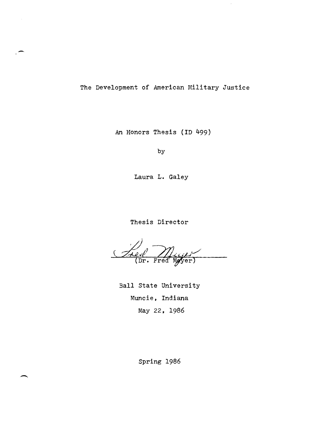The Development of American Military Justice

An Honors Thesis (ID 499)

by

Laura **L.** Galey

Thesis Director

Treef Mujer

Ball State University Muncie, Indiana May 22, 1986

Spring 1986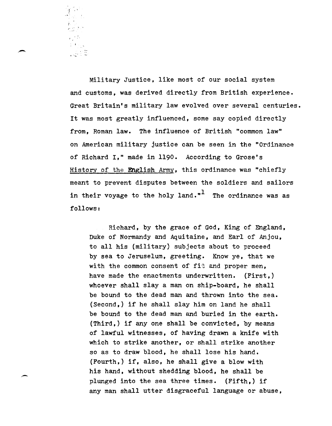Military Justice, like most of our social system and customs, was derived directly from British experience. Great Britain's military law evolved over several centuries. It was most greatly influenced, some say copied directly from, Roman law. The influence of British "common law" on American military justice can be seen in the "Ordinance of Richard I," made in 1190. According to Grose's History of the English Army, this ordinance was "chiefly meant to prevent disputes between the soldiers and sailors in their voyage to the holy land."<sup>1</sup> The ordinance was as follows:

*,r* :; , ."

... -

Richard, by the grace of God, King of England, Duke of Normandy and Aquitaine, and Earl of Anjou, to all his (military) subjects about to proceed by sea to Jeruselum, greeting. Know ye, that we with the common consent of fit and proper men, have made the enactments underwritten. (First,) whoever shall slay a man on ship-board, he shall be bound to the dead man and thrown into the sea. (Second,) if he shall slay him on land he shall be bound to the dead man and buried in the earth. (Third,) if anyone shall be convicted, by means of lawful witnesses, of having drawn a knife with which to strike another, or shall strike another so as to draw blood, he shall lose his hand. (Fourth,) if, also, he shall give a blow with his hand, without shedding blood, he shall be plunged into the sea three times. (Fifth,) if any man shall utter disgraceful language or abuse,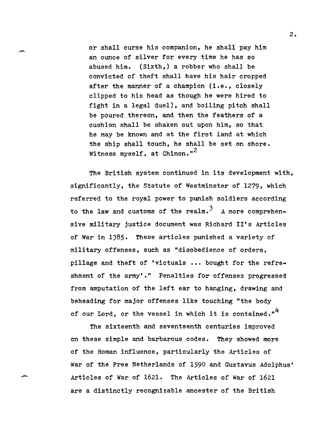or shall curse his companion, he shall pay him an ounce of silver for every time he has so abused him. (Sixth,) a robber who shall be convicted of theft shall have his hair cropped after the manner of a champion (i.e., closely clipped to his head as though he were hired to fight in a legal duel), and boiling pitch shall be poured thereon, and then the feathers of a cushion shall be shaken out upon him, so that he may be known and at the first land at which the ship shall touch, he shall be set on shore. Witness myself, at Chinon."<sup>2</sup>

The British system continued in its development with, significantly, the Statute of Westminster of 1279, which referred to the royal power to punish soldiers according to the law and customs of the realm.<sup>3</sup> A more comprehensive military justice document was Richard II's Articles of War in 1385. These articles punished a variety of military offenses, such as "disobedience of orders, pillage and theft of 'victuals **•••** bought for the refreshment of the army'." Penalties for offenses progressed from amputation of the left ear to hanging, drawing and beheading for major offenses like touching "the body of our Lord, or the vessel in which it is contained."<sup>4</sup>

The sixteenth and seventeenth centuries improved on these simple and barbarous codes. They showed more of the Roman influence, particularly the Articles of War of the Free Netherlands of 1590 and Gustavus Adolphus' Articles of War of 1621. The Articles of War of 1621 are a distinctly recognizable ancester of the British

--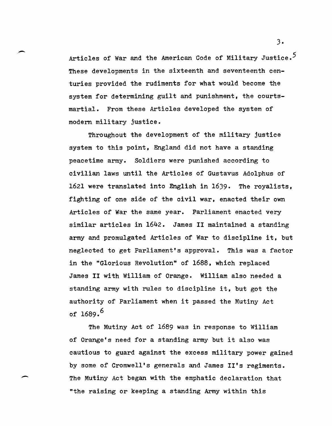Articles of War and the American Code of Military Justice.<sup>5</sup> These developments in the sixteenth and seventeenth centuries provided the rudiments for what would become the system for determining guilt and punishment, the courtsmartial. From these Articles developed the system of modern military justice.

Throughout the development of the military justice system to this point, England did not have a standing peacetime army. Soldiers were punished according to civilian laws until the Articles of Gustavus Adolphus of 1621 were translated into English in 1639. The royalists, fighting of one side of the civil war, enacted their own Articles of War the same year. Parliament enacted very similar articles in 1642. James II maintained a standing army and promulgated Articles of War to discipline it, but neglected to get Parliament's approval. This was a factor in the "Glorious Revolution" of 1688, which replaced James II with William of Orange. William also needed a standing army with rules to discipline it, but got the authority of Parliament when it passed the Mutiny Act of  $1689.^{6}$ 

The Mutiny Act of 1689 was in response to William of Orange's need for a standing army but it also was cautious to guard against the excess military power gained by some of Cromwell's generals and James II's regiments. The Mutiny Act began with the emphatic declaration that "the raising or keeping a standing Army within this

-

 $3 \cdot$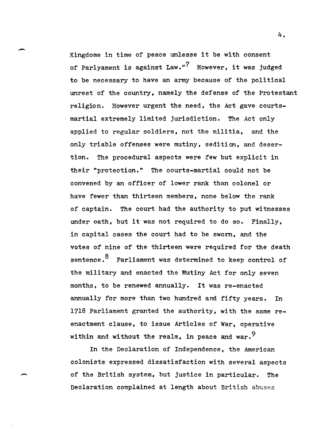Kingdome in time of peace unlesse it be with consent of Parlyament is against Law."<sup>7</sup> However, it was judged to be necessary to have an army because of the political unrest of the country, namely the defense of the Protestant religion. However urgent the need, the Act gave courtsmartial extremely limited jurisdiction. The Act only applied to regular soldiers, not the militia, and the only triable offenses were mutiny, sedition, and desertion. The procedural aspects were few but explicit in their "protection." The courts-martial could not be convened by an officer of lower rank than colonel or have fewer than thirteen members, none below the rank of captain. The court had the authority to put witnesses under oath, but it was not required to do so. Finally, in capital cases the court had to be sworn, and the votes of nine of the thirteen were required for the death sentence.<sup>8</sup> Parliament was determined to keep control of the military and enacted the Mutiny Act for only seven months, to be renewed annually. It was re-enacted annually for more than two hundred and fifty years. In 1718 Parliament granted the authority, with the same reenactment clause, to issue Articles of War, operative within and without the realm, in peace and war.  $9$ 

In the Declaration of Independence, the American colonists expressed dissatisfaction with several aspects of the British system, but justice in particular. The Declaration complained at length about British abuses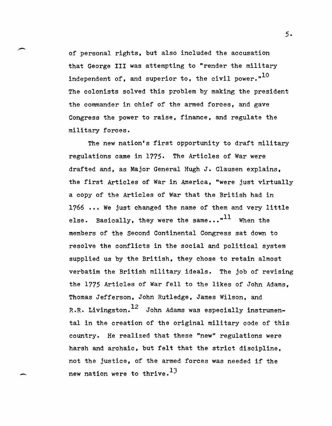of personal rights, but also included the accusation that George III was attempting to "render the military independent of, and superior to, the civil power." $^{10}$ The colonists solved this problem by making the president the commander in chief of the armed forces, and gave Congress the power to raise, finance, and regulate the military forces.

The new nation's first opportunity to draft military regulations came in 1775. The Articles of War were drafted and, as Major General Hugh J. Clausen explains, the first Articles of War in America, "were just virtually a copy of the Articles of War that the British had in 1766 ... We just changed the name of them and very little else. Basically, they were the same... $"^{11}$  When the members of the Second Continental Congress sat down to resolve the conflicts in the social and political system supplied us by the British, they chose to retain almost verbatim the British military ideals. The job of revising the 1775 Articles of War fell to the likes of John Adams, Thomas Jefferson, John Rutledge, James Wilson, and R.R. Livingston.<sup>12</sup> John Adams was especially instrumental in the creation of the original military code of this country. He realized that these "new" regulations were harsh and archaic, but felt that the strict discipline, not the justice, of the armed forces was needed if the new nation were to thrive.<sup>13</sup>

-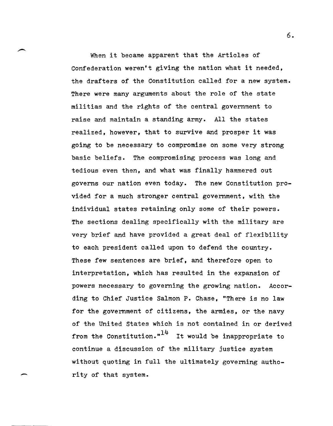When it became apparent that the Articles of Confederation weren't giving the nation what it needed, the drafters of the Constitution called for a new system. There were many arguments about the role of the state militias and the rights of the central government to raise and maintain a standing army. All the states realized, however, that to survive and prosper it was going to be necessary to compromise on some very strong basic beliefs. The compromising process was long and tedious even then, and what was finally hammered out governs our nation even today. The new Constitution provided for a much stronger central government, with the individual states retaining only some of their powers. The sections dealing specifically with the military are very brief and have provided a great deal of flexibility to each president called upon to defend the country. These few sentences are brief, and therefore open to interpretation, which has resulted in the expansion of powers necessary to governing the growing nation. According to Chief Justice Salmon P. Chase, "There is no law for the government of citizens, the armies, or the navy of the United States which is not contained in or derived from the Constitution. $n^{14}$  It would be inappropriate to continue a discussion of the military justice system without quoting in full the ultimately governing authority of that system.

6.

 $\overline{\phantom{0}}$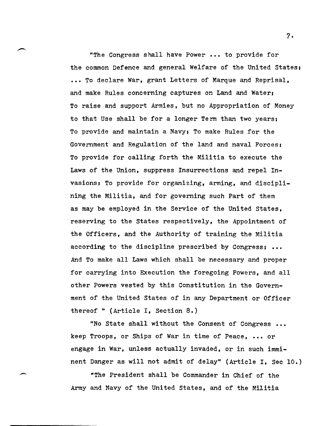"The Congress shall have Power ••• to provide for the common Defence and general Welfare of the United states; ... To declare War, grant Letters of Marque and Reprisal, and make Rules concerning captures on Land and Water; To raise and support Armies, but no Appropriation of Money to that Use shall be for a longer Term than two years; To provide and maintain a Navy; To make Rules for the Government and Regulation of the land and naval Forces; To provide for calling forth the Militia to execute the Laws of the Union, suppress Insurrections and repel Invasions; To provide for organizing, arming, and disciplining the Militia, and for governing such Part of them as may be employed in the Service of the United States, reserving to the States respectively, the Appointment of the Officers, and the Authority of training the Militia according to the discipline prescribed by Congress; ••• And To make all Laws which shall be necessary and proper for carrying into Execution the foregoing Powers, and all other Powers vested by this Constitution in the Government of the United states of in any Department or Officer thereof " (Article I, Section  $8.$ )

"No State shall without the Consent of Congress ••• keep Troops, or Ships of War in time of Peace, ••• or engage in War, unless actually invaded, or in such imminent Danger as will not admit of delay" (Article I, Sec 10.)

"The President shall be Commander in Chief of the Army and Navy of the United States, and of the Militia

-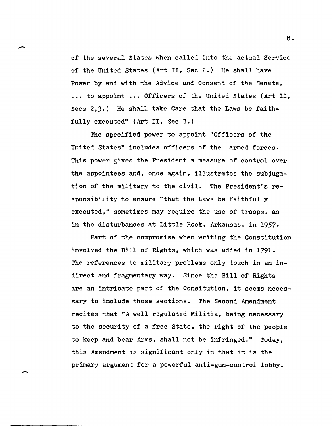of the several states when called into the actual Service of the United States (Art II, Sec 2.) He shall have Power by and with the Advice and Consent of the Senate, •• , to appoint ••• Officers of the United States (Art II, Secs 2,3.) He shall take Care that the Laws be faithfully executed" (Art II, Sec 3.)

The specified power to appoint "Officers of the United States" includes officers of the armed forces. This power gives the President a measure of control over the appointees and, once again, illustrates the subjugation of the military to the civil. The President's responsibility to ensure "that the Laws be faithfully executed," sometimes may require the use of troops, as in the disturbances at Little Rock, Arkansas, in 1957.

Part of the compromise when writing the Constitution involved the Bill of Rights, which was added in 1791. The references to military problems only touch in an indirect and fragmentary way. Since the Bill of Rights are an intricate part of the Consitution, it seems necessary to include those sections. The Second Amendment recites that "A well regulated Militia, being necessary to the security of a free State, the right of the people to keep and bear Arms, shall not be infringed." Today, this Amendment is significant only in that it is the primary argument for a powerful anti-gun-control lobby.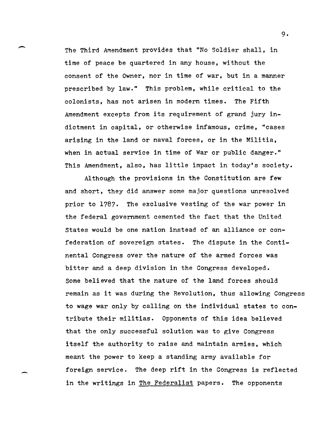The Third Amendment provides that "No Soldier shall, in time of peace be quartered in any house, without the consent of the Owner, nor in time of war, but in a manner prescribed by law." This problem, while critical to the colonists, has not arisen in modern times. The Fifth Amendment excepts from its requirement of grand jury indictment in capital, or otherwise infamous, crime, "cases arising in the land or naval forces, or in the Militia, when in actual service in time of War or public danger." This Amendment, also, has little impact in today's society.

-

,-

Although the provisions in the Constitution are few and short, they did answer some major questions unresolved prior to 1787. The exclusive vesting of the war power in the federal government cemented the fact that the United states would be one nation instead of an alliance or confederation of sovereign states. The dispute in the Continental Congress over the nature of the armed forces was bitter and a deep division in the Congress developed. Some believed that the nature of the land forces should remain as it was during the Revolution, thus allowing Congress to wage war only by calling on the individual states to contribute their militias. Opponents of this idea believed that the only successful solution was to give Congress itself the authority to raise and maintain armies, which meant the power to keep a standing army available for foreign service. The deep rift in the Congress is reflected in the writings in The Federalist papers. The opponents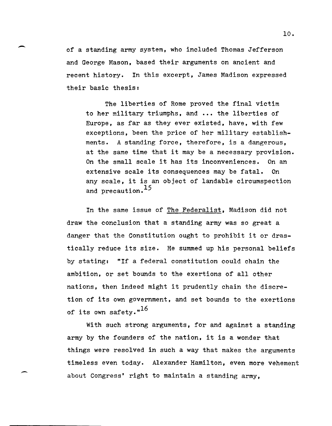of a standing army system, who included Thomas Jefferson and George Mason, based their arguments on ancient and recent history. In this excerpt, James Madison expressed their basic thesis:

 $\overline{\phantom{0}}$ 

-

The liberties of Rome proved the final victim to her military triumphs, and ••• the liberties of Europe, as far as they ever existed, have, with few exceptions, been the price of her military establishments. A standing force, therefore, is a dangerous, at the same time that it may be a necessary provision. On the small scale it has its inconveniences. On an extensive scale its consequences may be fatal. On any scale, it is an object of landable circumspection and precaution.<sup>15</sup>

In the same issue of The Federalist, Madison did not draw the conclusion that a standing army was so great a danger that the Constitution ought to prohibit it or drastically reduce its size. He summed up his personal beliefs by stating: "If a federal constitution could chain the ambition, or set bounds to the exertions of all other nations, then indeed might it prudently chain the discretion of its own government, and set bounds to the exertions of its own safety."<sup>16</sup>

with such strong arguments, for and against a standing army by the founders of the nation, it is a wonder that things were resolved in such a way that makes the arguments timeless even today. Alexander Hamilton, even more vehement about Congress' right to maintain a standing army,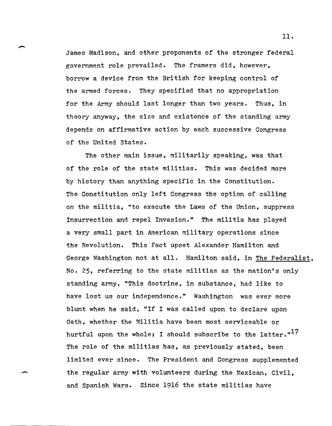James Madison, and other proponents of the stronger federal government role prevailed. The framers did, however, borrow a device from the British for keeping control of the armed forces. They specified that no appropriation for the Army should last longer than two years. Thus, in theory anyway, the size and existence of the standing army depends on affirmative action by each successive Congress of the United states.

-

-

The other main issue, militarily speaking, was that of the role of the state militias. This was decided more by history than anything specific in the Constitution. The Constitution only left Congress the option of calling on the militia. "to execute the Laws of the Union, suppress Insurrection and repel Invasion." The militia has played a very small part in American military operations since the Revolution. This fact upset Alexander Hamilton and George Washington not at all. Hamilton said, in The Federalist, No. 25, referring to the state militias as the nation's only standing army, "This doctrine, in substance, had like to have lost us our independence." Washington was ever more blunt when he said, "If I was called upon to declare upon Oath, whether the Militia have been most serviceable or hurtful upon the whole; I should subscribe to the latter." $^{17}$ The role of the militias has, as previously stated, been limited ever since. The President and Congress supplemented the regular army with volunteers during the Mexican, Civil, and Spanish Wars. Since 1916 the state militias have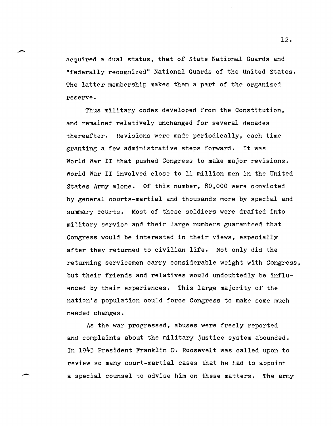acquired a dual status, that of state National Guards and "federally recognized" National Guards of the United states. The latter membership makes them a part of the organized reserve.

Thus military codes developed from the Constitution, and remained relatively unchanged for several decades thereafter. Revisions were made periodically, each time granting a few administrative steps forward. It was World War II that pushed Congress to make major revisions. World War II involved close to 11 million men in the United states Army alone. Of this number, 80,000 were convicted by general courts-martial and thousands more by' special and summary courts. Most of these soldiers were drafted into military service and their large numbers guaranteed that Congress would be interested in their views, especially after they returned to civilian life. Not only did the returning servicemen carry considerable weight with Congress, but their friends and relatives would undoubtedly be influenced by their experiences. This large majority of the nation's population could force Congress to make some much needed changes.

As the war progressed, abuses were freely reported and complaints about the military justice system abounded. In 1943 President Franklin D. Roosevelt was called upon to review so many court-martial cases that he had to appoint a special counsel to advise him on these matters. The army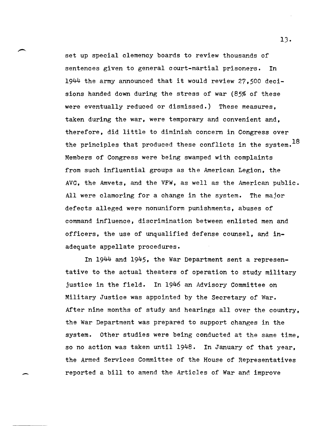set up special clemency boards to review thousands of sentences given to general court-martial prisoners. In  $1944$  the army announced that it would review 27,500 decisions handed down during the stress of war (85% of these were eventually reduced or dismissed.) These measures, taken during the war, were temporary and convenient and, therefore, did little to diminish concern in Congress over the principles that produced these conflicts in the system. $^{18}$ Members of Congress were being swamped with complaints from such influential groups as the American Legion, the AVC, the Amvets, and the VFW, as well as the American public. All were clamoring for a change in the system. The major defects alleged were nonuniform punishments, abuses of command influence, discrimination between enlisted men and officers, the use of unqualified defense counsel, and inadequate appellate procedures.

In *1944* and 1945, the War Department sent a representative to the actual theaters of operation to study military justice in the field. In 1946 an Advisory Committee on Military Justice was appointed by the Secretary of War. After nine months of study and hearings all over the country, the War Department was prepared to support changes in the system. Other studies were being conducted at the same time, so no action was taken until 1948. In January of that year, the Armed Services Committee of the House of Representatives reported a bill to amend the Articles of War and improve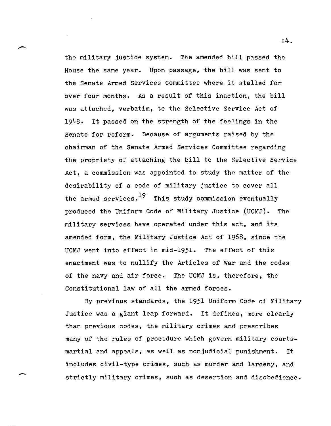the military justice system. The amended bill passed the House the same year. Upon passage, the bill was sent to the Senate Armed Services Committee where it stalled for over four months. As a result of this inaction, the bill was attached, verbatim, to the Selective Service Act of 1948. It passed on the strength of the feelings in the Senate for reform. Because of arguments raised by the chairman of the Senate Armed Services Committee regarding the propriety of attaching the bill to the Selective Service Act, a commission was appointed to study the matter of the desirability of a code of military justice to cover all the armed services. $^{19}$  This study commission eventually produced the Uniform Code of Military Justice (UCMJ). The military services have operated under this act, and its amended form, the Military Justice Act of 1968, since the UCMJ went into effect in mid-1951. The effect of this enactment was to nullify the Articles of War and the codes of the navy and air force. The UCMJ is, therefore, the Constitutional law of all the armed forces.

By previous standards, the 1951 Uniform Code of Military Justice was a giant leap forward. It defines, more clearly than previous codes, the military crimes and prescribes many of the rules of procedure which govern military courtsmartial and appeals, as well as nonjudicial punishment. It includes civil-type crimes, such as murder and larceny, and strictly military crimes, such as desertion and disobedience.

-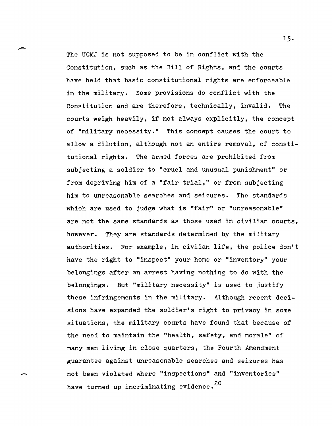The UCMJ is not supposed to be in conflict with the Constitution, such as the Bill of Rights, and the courts have held that basic constitutional rights are enforceable in the military. Some provisions do conflict with the Constitution and are therefore, technically, invalid. The courts weigh heavily, if not always explicitly, the concept of "military necessity." This concept causes the court to allow a dilution, although not an entire removal, of constitutional rights. The armed forces are prohibited from subjecting a soldier to "cruel and unusual punishment" or from depriving him of a "fair trial," or from subjecting him to unreasonable searches and seizures. The standards which are used to judge what is "fair" or "unreasonable" are not the same standards as those used in civilian courts, however. They are standards determined by the military authorities. For example, in civiian life, the police don't have the right to "inspect" your home or "inventory" your belongings after an arrest having nothing to do with the belongings. But "military necessity" is used to justify these infringements in the military. Although recent decisions have expanded the soldier's right to privacy in some situations, the military courts have found that because of the need to maintain the "health, safety, and morale" of many men living in close quarters, the Fourth Amendment guarantee against unreasonable searches and seizures has not been violated where "inspections" and "inventories" have turned up incriminating evidence.<sup>20</sup>

-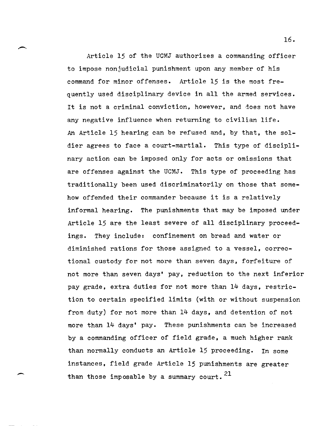Article 15 of the UCMJ authorizes a commanding officer to impose nonjudicial punishment upon any member of his command for minor offenses. Article 15 is the most frequently used disciplinary device in all the armed services. It is not a criminal conviction, however, and does not have any negative influence when returning to civilian life. An Article 15 hearing can be refused and, by that, the soldier agrees to face a court-martial. This type of disciplinary action can be imposed only for acts or omissions that are offenses against the UCMJ. This type of proceeding has traditionally been used discriminatorily on those that somehow offended their commander because it is a relatively informal hearing. The punishments that may be imposed under Article 15 are the least severe of all disciplinary proceedings. They include: confinement on bread and water or diminished rations for those assigned to a vessel, correctional custody for not more than seven days, forfeiture of not more than seven days' pay, reduction to the next inferior pay grade, extra duties for not more than 14 days, restriction to certain specified limits (with or without suspension from duty) for not more than 14 days, and detention of not more than 14 days' pay. These punishments can be increased by a commanding officer of field grade, a much higher rank than normally conducts an Article 15 proceeding. In some instances, field grade Article 15 punishments are greater than those imposable by a summary court.  $21$ 

16.

 $\overline{\phantom{a}}$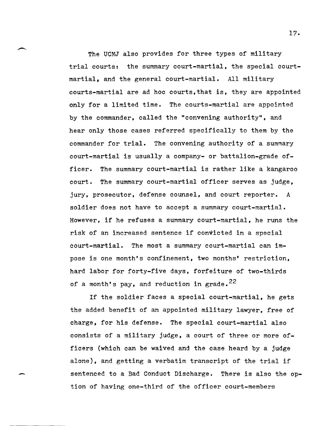The UCMJ also provides for three types of military trial courts: the summary court-martial, the special courtmartial, and the general court-martial. All military courts-martial are ad hoc courts,that is, they are appointed only for a limited time. The courts-martial are appointed by the commander, called the "convening authority", and hear only those cases referred specifically to them by the commander for trial. The convening authority of a summary court-martial is usually a company- or battalion-grade officer. The summary court-martial is rather like a kangaroo court. The summary court-martial officer serves as judge, jury, prosecutor, defense counsel, and court reporter. A soldier does not have to accept a summary court-martial. However, if he refuses a summary court-martial, he runs the risk of an increased sentence if convicted in a special court-martial. The most a summary court-martial can impose is one month's confinement, two months' restriction, hard labor for forty-five days, forfeiture of two-thirds of a month's pay, and reduction in grade.  $22$ 

If the soldier faces a special court-martial, he gets the added benefit of an appointed military lawyer, free of charge. for his defense. The special court-martial also consists of a military judge, a court of three or more officers (which can be waived and the case heard by a judge alone), and getting a verbatim transcript of the trial if sentenced to a Bad Conduct Discharge. There is also the option of having one-third of the officer court-members

-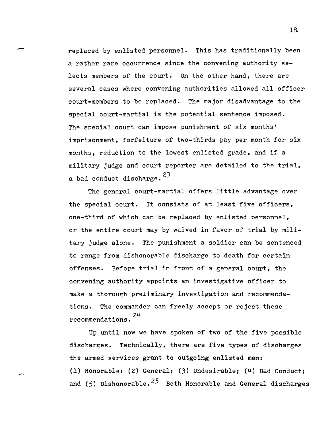replaced by enlisted personnel. This has traditionally been a rather rare occurrence since the convening authority selects members of the court. On the other hand, there are several cases where convening authorities allowed all officer court-members to be replaced. The major disadvantage to the special court-martial is the potential sentence imposed. The special court can impose punishment of six months' imprisonment, forfeiture of two-thirds pay per month for six months, reduction to the lowest enlisted grade, and if a military judge and court reporter are detailed to the trial, a bad conduct discharge.  $23$ 

The general court-martial offers little advantage over the special court. It consists of at least five officers, one-third of which can be replaced by enlisted personnel, or the entire court may by waived in favor of trial by military judge alone. The punishment a soldier can be sentenced to range from dishonorable discharge to death for certain offenses. Before trial in front of a general court, the convening authority appoints an investigative officer to make a thorough preliminary investigation and recommendations. The commander can freely accept or reject these recommendations.  $24$ 

Up until now we have spoken of two of the five possible discharges. Technically, there are five types of discharges the armed services grant to outgoing enlisted men: (1) Honorable. (2) General; (3) Undesirable; (4) Bad Conduct; and (5) Dishonorable.<sup>25</sup> Both Honorable and General discharges

1&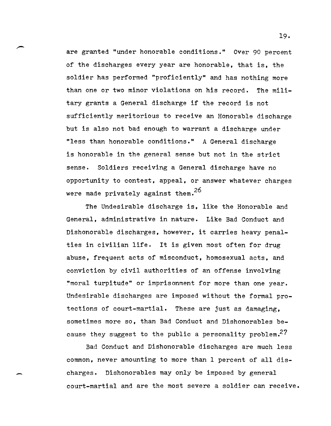are granted "under honorable conditions." Over 90 percent of the discharges every year are honorable, that is, the soldier has performed "proficiently" and has nothing more than one or two minor violations on his record. The military grants a General discharge if the record is not sufficiently meritorious to receive an Honorable discharge but is also not bad enough to warrant a discharge under "less than honorable conditions." A General discharge is honorable in the general sense but not in the strict sense. Soldiers receiving a General discharge have no opportunity to contest, appeal, or answer whatever charges were made privately against them.<sup>26</sup>

The Undesirable discharge is, like the Honorable and General, administrative in nature. Like Bad Conduct and Dishonorable discharges, however, it carries heavy penalties in civilian life. It is given most often for drug abuse, frequent acts of misconduct, homosexual acts, and conviction by civil authorities of an offense involving "moral turpitude" or imprisonment for more than one year. Undesirable discharges are imposed without the formal protections of court-martial. These are just as damaging, sometimes more so, than Bad Conduct and Dishonorables because they suggest to the public a personality problem.27

Bad Conduct and Dishonorable discharges are much less common, never amounting to more than 1 percent of all discharges. Dishonorables may only be imposed by general court-martial and are the most severe a soldier can receive.

-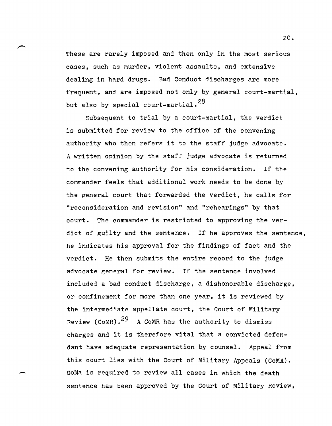These are rarely imposed and then only in the most serious cases, such as murder, violent assaults, and extensive dealing in hard drugs. Bad Conduct discharges are more frequent, and are imposed not only by general court-martial, but also by special court-martial.<sup>28</sup>

Subsequent to trial by a court-martial, the verdict is submitted for review to the office of the convening authority who then refers it to the staff judge advocate. A written opinion by the staff judge advocate is returned to the convening authority for his consideration. If the commander feels that additional work needs to be done by the general court that forwarded the verdict, he calls for "reconsideration and revision" and "rehearings" by that court. The commander is restricted to approving the verdict of guilty and the sentence. If he approves the sentence, he indicates his approval for the findings of fact and the verdict. He then submits the entire record to the judge advocate general for review. If the sentence involved included a bad conduct discharge, a dishonorable discharge, or confinement for more than one year, it is reviewed by the intermediate appellate court, the Court of Military Review (COMR).<sup>29</sup> A COMR has the authority to dismiss charges and it is therefore vital that a convicted defendant have adequate representation by counsel. Appeal from this court lies with the Court of Military Appeals (CoMA). CoMa is required to review all cases in which the death sentence has been approved by the Court of Military Review,

-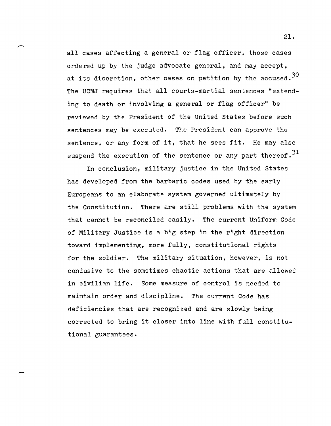all cases affecting a general or flag officer, those cases ordered up by the judge advocate general, and may accept, at its discretion, other cases on petition by the accused.<sup>30</sup> The UCMJ requires that all courts-martial sentences "extending to death or involving a general or flag officer" be reviewed by the President of the United States before such sentences may be executed. The President can approve the sentence, or any form of it, that he sees fit. He may also suspend the execution of the sentence or any part thereof.  $31$ 

In conclusion, military justice in the United states has developed from the barbaric codes used by the early Europeans to an elaborate system governed ultimately by the Constitution. There are still problems with the system that cannot be reconciled easily. The current Uniform Code of Military Justice is a big step in the right direction toward implementing, more fully, constitutional rights for the soldier. The military situation, however, is not condusive to the sometimes chaotic actions that are allowed in civilian life. Some measure of control is needed to maintain order and discipline. The current Code has deficiencies that are recognized and are slowly being corrected to bring it closer into line with full constitutional guarantees.

-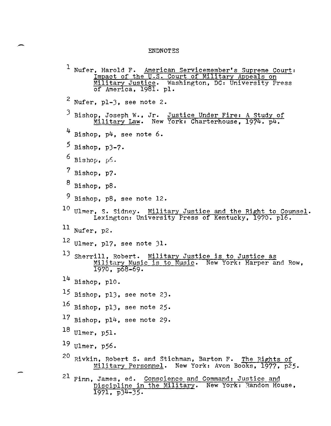## ENDNOTES

<sup>1</sup> Nufer, Harold F. American Servicemember's Supreme Court: Impact of the U.S. Court of Military Appeals on Military Justice. Washington, DC: University Press of America, 1981. pl.  $2$  Nufer, pl-3, see note 2. 3 Bishop, Joseph W., Jr. Justice Under Fire: A Study of Military Law. New York: Charterhouse, 1974. p4.  $4$  Bishop, p $4$ , see note 6. 5 Bishop, p3-7.  $6$  Bishop,  $p6$ . 7 Bishop, p7. 8 Bishop, p8.  $9$  Bishop, p8, see note 12.  $^{10}$  Ulmer, S. Sidney. Military Justice and the Right to Counsel. Lexington: University Press of Kentucky, 1970. pl6. 11 Nufer, p2. 12 Ulmer, p17, see note 31. 13 Sherrill, Robert. Military Justice is to Justice as Military Music is to Music. New York: Harper and Row, 1970, p68-69.  $14$  Bishop, pl0. 15 Bishop, p13, see note 23. 16 Bishop, p13, see note 25·  $17$  Bishop, pl $4$ , see note 29. 18 Ulmer, p5l. 19 Ulmer, p56.  $^{20}$  Rivkin, Robert S. and Stichman, Barton F. The Rights of Military Personnel. New York: Avon Books, 1977, p25.  $^{21}$  Finn, James, ed. Conscience and Command: Justice and Discipline in the Military. New York: Random House, 1971, p34-35.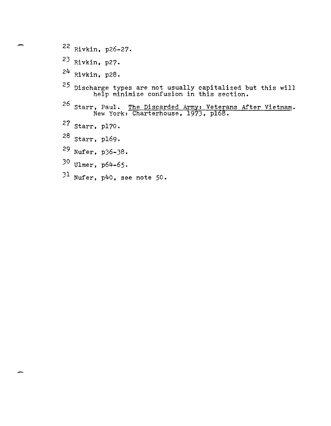- 22 Rivkin, p26-27.
- 23 Rivkin, p27·
- $24$  Rivkin, p28.
- $^{25}$  Discharge types are not usually capitalized but this will help minimize confusion in this section.
- <sup>26</sup> Starr, Paul. The Discarded Army: Veterans After Vietnam. New York: Charterhouse, 1973, p168.
- 27 Starr, p170.
- 28 Starr, p169·
- 29 Nufer, p36-38.
- 30 Ulmer, p64-65.
- 31 Nufer, p40, see note 50.